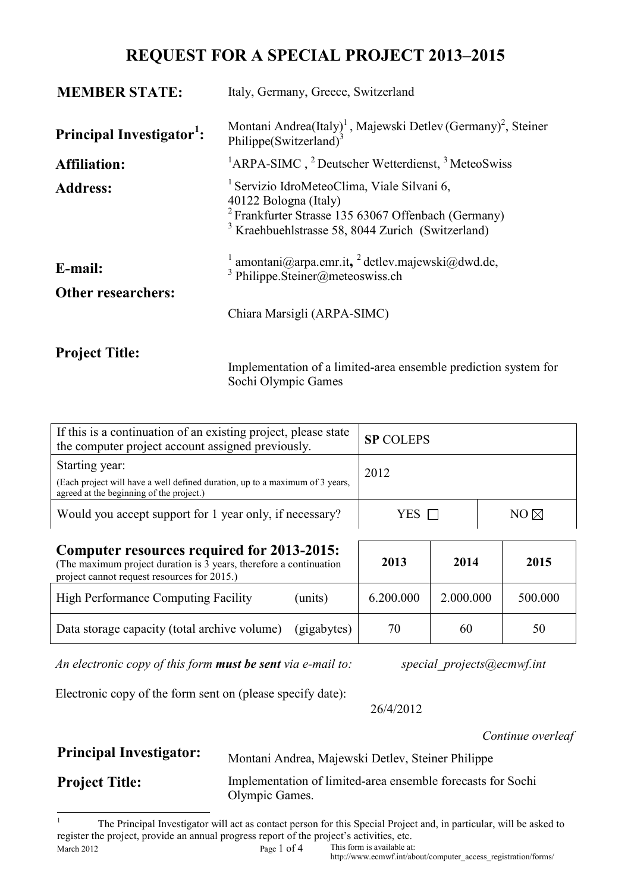# **REQUEST FOR A SPECIAL PROJECT 2013–2015**

| <b>MEMBER STATE:</b>                  | Italy, Germany, Greece, Switzerland                                                                                                                                                                               |  |  |  |  |
|---------------------------------------|-------------------------------------------------------------------------------------------------------------------------------------------------------------------------------------------------------------------|--|--|--|--|
| Principal Investigator <sup>1</sup> : | Montani Andrea(Italy) <sup>1</sup> , Majewski Detlev (Germany) <sup>2</sup> , Steiner<br>Philippe(Switzerland) <sup>3</sup>                                                                                       |  |  |  |  |
| <b>Affiliation:</b>                   | <sup>1</sup> ARPA-SIMC, $^{2}$ Deutscher Wetterdienst, $^{3}$ MeteoSwiss                                                                                                                                          |  |  |  |  |
| <b>Address:</b>                       | <sup>1</sup> Servizio IdroMeteoClima, Viale Silvani 6,<br>40122 Bologna (Italy)<br><sup>2</sup> Frankfurter Strasse 135 63067 Offenbach (Germany)<br><sup>3</sup> Kraehbuehlstrasse 58, 8044 Zurich (Switzerland) |  |  |  |  |
| E-mail:<br><b>Other researchers:</b>  | <sup>1</sup> amontani@arpa.emr.it, <sup>2</sup> detlev.majewski@dwd.de,<br><sup>3</sup> Philippe.Steiner@meteoswiss.ch                                                                                            |  |  |  |  |
|                                       | Chiara Marsigli (ARPA-SIMC)                                                                                                                                                                                       |  |  |  |  |
| <b>Project Title:</b>                 |                                                                                                                                                                                                                   |  |  |  |  |

Implementation of a limited-area ensemble prediction system for Sochi Olympic Games

| If this is a continuation of an existing project, please state<br>the computer project account assigned previously.                                                    | <b>SP COLEPS</b>   |           |           |                |         |
|------------------------------------------------------------------------------------------------------------------------------------------------------------------------|--------------------|-----------|-----------|----------------|---------|
| Starting year:<br>(Each project will have a well defined duration, up to a maximum of 3 years,<br>agreed at the beginning of the project.)                             | 2012               |           |           |                |         |
| Would you accept support for 1 year only, if necessary?                                                                                                                | YES <sub>[1]</sub> |           |           | $NO \boxtimes$ |         |
| <b>Computer resources required for 2013-2015:</b><br>(The maximum project duration is 3 years, therefore a continuation<br>project cannot request resources for 2015.) | 2013               | 2014      |           | 2015           |         |
| High Performance Computing Facility                                                                                                                                    | (units)            | 6.200.000 | 2.000.000 |                | 500.000 |
| Data storage capacity (total archive volume)                                                                                                                           | (gigabytes)        | 70        | 60        |                | 50      |

*An electronic copy of this form must be sent via e-mail to: special\_projects@ecmwf.int*

Electronic copy of the form sent on (please specify date):

26/4/2012

*Continue overleaf* 

**Principal Investigator:** Montani Andrea, Majewski Detlev, Steiner Philippe

**Project Title:** Implementation of limited-area ensemble forecasts for Sochi Olympic Games.

<span id="page-0-0"></span>March 2012 Page 1 of 4 This form is available at: 1 The Principal Investigator will act as contact person for this Special Project and, in particular, will be asked to register the project, provide an annual progress report of the project's activities, etc.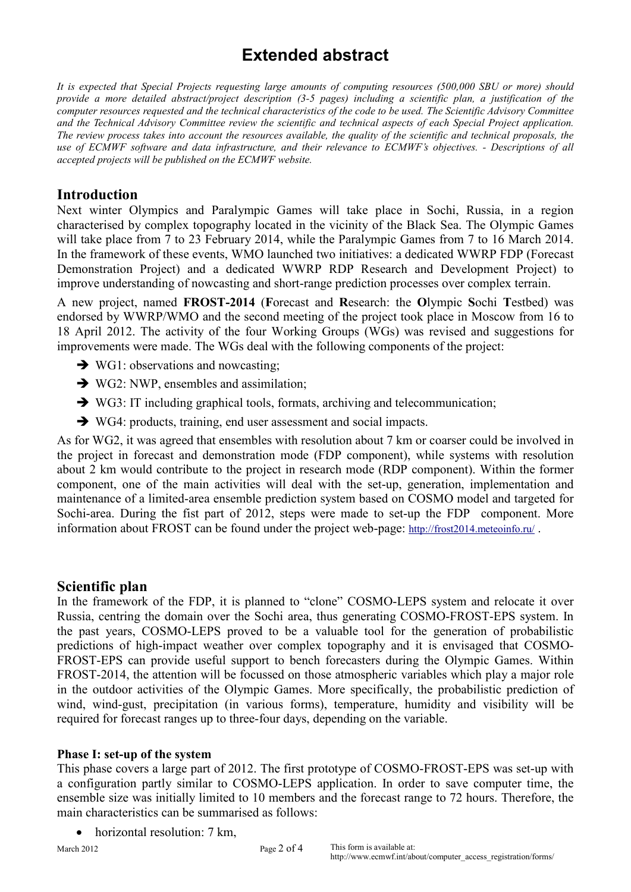# **Extended abstract**

*It is expected that Special Projects requesting large amounts of computing resources (500,000 SBU or more) should provide a more detailed abstract/project description (3-5 pages) including a scientific plan, a justification of the computer resources requested and the technical characteristics of the code to be used. The Scientific Advisory Committee and the Technical Advisory Committee review the scientific and technical aspects of each Special Project application. The review process takes into account the resources available, the quality of the scientific and technical proposals, the use of ECMWF software and data infrastructure, and their relevance to ECMWF's objectives. - Descriptions of all accepted projects will be published on the ECMWF website.*

# **Introduction**

Next winter Olympics and Paralympic Games will take place in Sochi, Russia, in a region characterised by complex topography located in the vicinity of the Black Sea. The Olympic Games will take place from 7 to 23 February 2014, while the Paralympic Games from 7 to 16 March 2014. In the framework of these events, WMO launched two initiatives: a dedicated WWRP FDP (Forecast Demonstration Project) and a dedicated WWRP RDP Research and Development Project) to improve understanding of nowcasting and short-range prediction processes over complex terrain.

A new project, named **FROST-2014** (**F**orecast and **R**esearch: the **O**lympic **S**ochi **T**estbed) was endorsed by WWRP/WMO and the second meeting of the project took place in Moscow from 16 to 18 April 2012. The activity of the four Working Groups (WGs) was revised and suggestions for improvements were made. The WGs deal with the following components of the project:

- $\rightarrow$  WG1: observations and nowcasting;
- $\rightarrow$  WG2: NWP, ensembles and assimilation;
- $\rightarrow$  WG3: IT including graphical tools, formats, archiving and telecommunication;
- WG4: products, training, end user assessment and social impacts.

As for WG2, it was agreed that ensembles with resolution about 7 km or coarser could be involved in the project in forecast and demonstration mode (FDP component), while systems with resolution about 2 km would contribute to the project in research mode (RDP component). Within the former component, one of the main activities will deal with the set-up, generation, implementation and maintenance of a limited-area ensemble prediction system based on COSMO model and targeted for Sochi-area. During the fist part of 2012, steps were made to set-up the FDP component. More information about FROST can be found under the project web-page:<http://frost2014.meteoinfo.ru/>.

## **Scientific plan**

In the framework of the FDP, it is planned to "clone" COSMO-LEPS system and relocate it over Russia, centring the domain over the Sochi area, thus generating COSMO-FROST-EPS system. In the past years, COSMO-LEPS proved to be a valuable tool for the generation of probabilistic predictions of high-impact weather over complex topography and it is envisaged that COSMO-FROST-EPS can provide useful support to bench forecasters during the Olympic Games. Within FROST-2014, the attention will be focussed on those atmospheric variables which play a major role in the outdoor activities of the Olympic Games. More specifically, the probabilistic prediction of wind, wind-gust, precipitation (in various forms), temperature, humidity and visibility will be required for forecast ranges up to three-four days, depending on the variable.

### **Phase I: set-up of the system**

This phase covers a large part of 2012. The first prototype of COSMO-FROST-EPS was set-up with a configuration partly similar to COSMO-LEPS application. In order to save computer time, the ensemble size was initially limited to 10 members and the forecast range to 72 hours. Therefore, the main characteristics can be summarised as follows:

horizontal resolution: 7 km.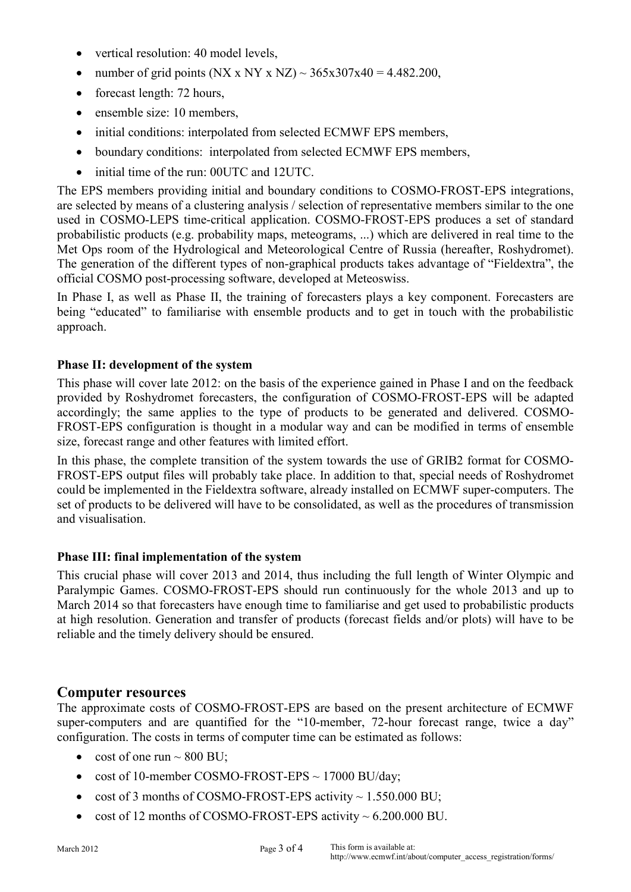- vertical resolution: 40 model levels,
- number of grid points (NX x NY x NZ)  $\sim$  365x307x40 = 4.482.200,
- forecast length: 72 hours,
- ensemble size: 10 members,
- initial conditions: interpolated from selected ECMWF EPS members,
- boundary conditions: interpolated from selected ECMWF EPS members,
- initial time of the run: 00UTC and 12UTC.

The EPS members providing initial and boundary conditions to COSMO-FROST-EPS integrations, are selected by means of a clustering analysis / selection of representative members similar to the one used in COSMO-LEPS time-critical application. COSMO-FROST-EPS produces a set of standard probabilistic products (e.g. probability maps, meteograms, ...) which are delivered in real time to the Met Ops room of the Hydrological and Meteorological Centre of Russia (hereafter, Roshydromet). The generation of the different types of non-graphical products takes advantage of "Fieldextra", the official COSMO post-processing software, developed at Meteoswiss.

In Phase I, as well as Phase II, the training of forecasters plays a key component. Forecasters are being "educated" to familiarise with ensemble products and to get in touch with the probabilistic approach.

#### **Phase II: development of the system**

This phase will cover late 2012: on the basis of the experience gained in Phase I and on the feedback provided by Roshydromet forecasters, the configuration of COSMO-FROST-EPS will be adapted accordingly; the same applies to the type of products to be generated and delivered. COSMO-FROST-EPS configuration is thought in a modular way and can be modified in terms of ensemble size, forecast range and other features with limited effort.

In this phase, the complete transition of the system towards the use of GRIB2 format for COSMO-FROST-EPS output files will probably take place. In addition to that, special needs of Roshydromet could be implemented in the Fieldextra software, already installed on ECMWF super-computers. The set of products to be delivered will have to be consolidated, as well as the procedures of transmission and visualisation.

#### **Phase III: final implementation of the system**

This crucial phase will cover 2013 and 2014, thus including the full length of Winter Olympic and Paralympic Games. COSMO-FROST-EPS should run continuously for the whole 2013 and up to March 2014 so that forecasters have enough time to familiarise and get used to probabilistic products at high resolution. Generation and transfer of products (forecast fields and/or plots) will have to be reliable and the timely delivery should be ensured.

#### **Computer resources**

The approximate costs of COSMO-FROST-EPS are based on the present architecture of ECMWF super-computers and are quantified for the "10-member, 72-hour forecast range, twice a day" configuration. The costs in terms of computer time can be estimated as follows:

- cost of one run  $\sim$  800 BU;
- cost of 10-member COSMO-FROST-EPS  $\sim$  17000 BU/day;
- cost of 3 months of COSMO-FROST-EPS activity  $\sim 1.550.000 \text{ BU}$ ;
- cost of 12 months of COSMO-FROST-EPS activity ~ 6.200.000 BU.